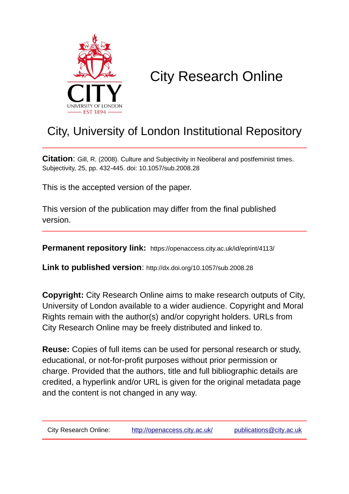

# City Research Online

## City, University of London Institutional Repository

**Citation**: Gill, R. (2008). Culture and Subjectivity in Neoliberal and postfeminist times. Subjectivity, 25, pp. 432-445. doi: 10.1057/sub.2008.28

This is the accepted version of the paper.

This version of the publication may differ from the final published version.

**Permanent repository link:** https://openaccess.city.ac.uk/id/eprint/4113/

**Link to published version**: http://dx.doi.org/10.1057/sub.2008.28

**Copyright:** City Research Online aims to make research outputs of City, University of London available to a wider audience. Copyright and Moral Rights remain with the author(s) and/or copyright holders. URLs from City Research Online may be freely distributed and linked to.

**Reuse:** Copies of full items can be used for personal research or study, educational, or not-for-profit purposes without prior permission or charge. Provided that the authors, title and full bibliographic details are credited, a hyperlink and/or URL is given for the original metadata page and the content is not changed in any way.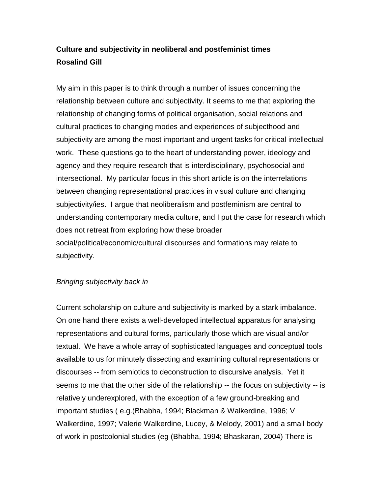### **Culture and subjectivity in neoliberal and postfeminist times Rosalind Gill**

My aim in this paper is to think through a number of issues concerning the relationship between culture and subjectivity. It seems to me that exploring the relationship of changing forms of political organisation, social relations and cultural practices to changing modes and experiences of subjecthood and subjectivity are among the most important and urgent tasks for critical intellectual work. These questions go to the heart of understanding power, ideology and agency and they require research that is interdisciplinary, psychosocial and intersectional. My particular focus in this short article is on the interrelations between changing representational practices in visual culture and changing subjectivity/ies. I argue that neoliberalism and postfeminism are central to understanding contemporary media culture, and I put the case for research which does not retreat from exploring how these broader social/political/economic/cultural discourses and formations may relate to subjectivity.

#### *Bringing subjectivity back in*

Current scholarship on culture and subjectivity is marked by a stark imbalance. On one hand there exists a well-developed intellectual apparatus for analysing representations and cultural forms, particularly those which are visual and/or textual. We have a whole array of sophisticated languages and conceptual tools available to us for minutely dissecting and examining cultural representations or discourses -- from semiotics to deconstruction to discursive analysis. Yet it seems to me that the other side of the relationship -- the focus on subjectivity -- is relatively underexplored, with the exception of a few ground-breaking and important studies ( e.g.(Bhabha, 1994; Blackman & Walkerdine, 1996; V Walkerdine, 1997; Valerie Walkerdine, Lucey, & Melody, 2001) and a small body of work in postcolonial studies (eg (Bhabha, 1994; Bhaskaran, 2004) There is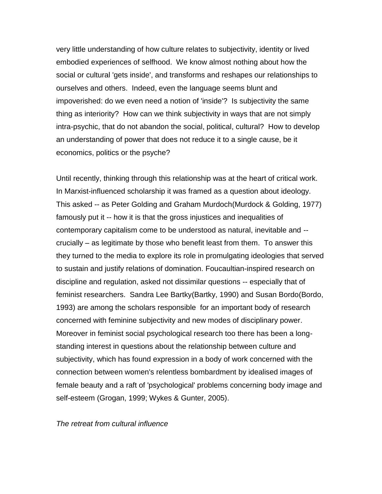very little understanding of how culture relates to subjectivity, identity or lived embodied experiences of selfhood. We know almost nothing about how the social or cultural 'gets inside', and transforms and reshapes our relationships to ourselves and others. Indeed, even the language seems blunt and impoverished: do we even need a notion of 'inside'? Is subjectivity the same thing as interiority? How can we think subjectivity in ways that are not simply intra-psychic, that do not abandon the social, political, cultural? How to develop an understanding of power that does not reduce it to a single cause, be it economics, politics or the psyche?

Until recently, thinking through this relationship was at the heart of critical work. In Marxist-influenced scholarship it was framed as a question about ideology. This asked -- as Peter Golding and Graham Murdoch(Murdock & Golding, 1977) famously put it -- how it is that the gross injustices and inequalities of contemporary capitalism come to be understood as natural, inevitable and - crucially – as legitimate by those who benefit least from them. To answer this they turned to the media to explore its role in promulgating ideologies that served to sustain and justify relations of domination. Foucaultian-inspired research on discipline and regulation, asked not dissimilar questions -- especially that of feminist researchers. Sandra Lee Bartky(Bartky, 1990) and Susan Bordo(Bordo, 1993) are among the scholars responsible for an important body of research concerned with feminine subjectivity and new modes of disciplinary power. Moreover in feminist social psychological research too there has been a longstanding interest in questions about the relationship between culture and subjectivity, which has found expression in a body of work concerned with the connection between women's relentless bombardment by idealised images of female beauty and a raft of 'psychological' problems concerning body image and self-esteem (Grogan, 1999; Wykes & Gunter, 2005).

#### *The retreat from cultural influence*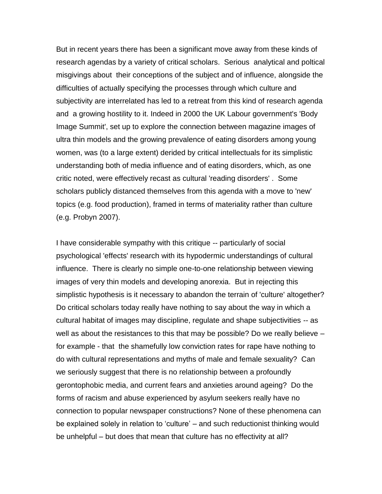But in recent years there has been a significant move away from these kinds of research agendas by a variety of critical scholars. Serious analytical and poltical misgivings about their conceptions of the subject and of influence, alongside the difficulties of actually specifying the processes through which culture and subjectivity are interrelated has led to a retreat from this kind of research agenda and a growing hostility to it. Indeed in 2000 the UK Labour government's 'Body Image Summit', set up to explore the connection between magazine images of ultra thin models and the growing prevalence of eating disorders among young women, was (to a large extent) derided by critical intellectuals for its simplistic understanding both of media influence and of eating disorders, which, as one critic noted, were effectively recast as cultural 'reading disorders' . Some scholars publicly distanced themselves from this agenda with a move to 'new' topics (e.g. food production), framed in terms of materiality rather than culture (e.g. Probyn 2007).

I have considerable sympathy with this critique -- particularly of social psychological 'effects' research with its hypodermic understandings of cultural influence. There is clearly no simple one-to-one relationship between viewing images of very thin models and developing anorexia. But in rejecting this simplistic hypothesis is it necessary to abandon the terrain of 'culture' altogether? Do critical scholars today really have nothing to say about the way in which a cultural habitat of images may discipline, regulate and shape subjectivities -- as well as about the resistances to this that may be possible? Do we really believe – for example - that the shamefully low conviction rates for rape have nothing to do with cultural representations and myths of male and female sexuality? Can we seriously suggest that there is no relationship between a profoundly gerontophobic media, and current fears and anxieties around ageing? Do the forms of racism and abuse experienced by asylum seekers really have no connection to popular newspaper constructions? None of these phenomena can be explained solely in relation to 'culture' – and such reductionist thinking would be unhelpful – but does that mean that culture has no effectivity at all?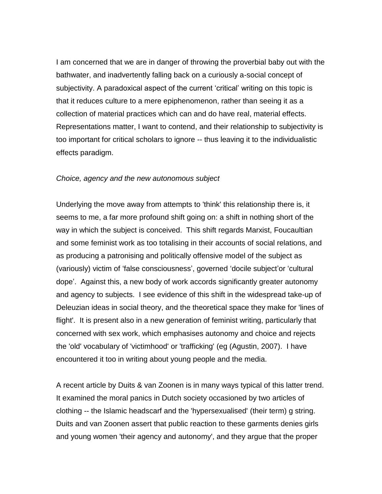I am concerned that we are in danger of throwing the proverbial baby out with the bathwater, and inadvertently falling back on a curiously a-social concept of subjectivity. A paradoxical aspect of the current 'critical' writing on this topic is that it reduces culture to a mere epiphenomenon, rather than seeing it as a collection of material practices which can and do have real, material effects. Representations matter, I want to contend, and their relationship to subjectivity is too important for critical scholars to ignore -- thus leaving it to the individualistic effects paradigm.

#### *Choice, agency and the new autonomous subject*

Underlying the move away from attempts to 'think' this relationship there is, it seems to me, a far more profound shift going on: a shift in nothing short of the way in which the subject is conceived. This shift regards Marxist, Foucaultian and some feminist work as too totalising in their accounts of social relations, and as producing a patronising and politically offensive model of the subject as (variously) victim of 'false consciousness', governed 'docile subject'or 'cultural dope'. Against this, a new body of work accords significantly greater autonomy and agency to subjects. I see evidence of this shift in the widespread take-up of Deleuzian ideas in social theory, and the theoretical space they make for 'lines of flight'. It is present also in a new generation of feminist writing, particularly that concerned with sex work, which emphasises autonomy and choice and rejects the 'old' vocabulary of 'victimhood' or 'trafficking' (eg (Agustin, 2007). I have encountered it too in writing about young people and the media.

A recent article by Duits & van Zoonen is in many ways typical of this latter trend. It examined the moral panics in Dutch society occasioned by two articles of clothing -- the Islamic headscarf and the 'hypersexualised' (their term) g string. Duits and van Zoonen assert that public reaction to these garments denies girls and young women 'their agency and autonomy', and they argue that the proper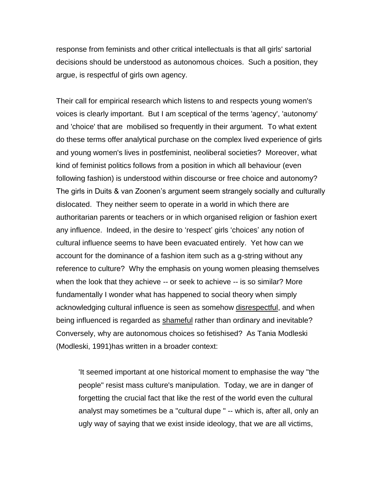response from feminists and other critical intellectuals is that all girls' sartorial decisions should be understood as autonomous choices. Such a position, they argue, is respectful of girls own agency.

Their call for empirical research which listens to and respects young women's voices is clearly important. But I am sceptical of the terms 'agency', 'autonomy' and 'choice' that are mobilised so frequently in their argument. To what extent do these terms offer analytical purchase on the complex lived experience of girls and young women's lives in postfeminist, neoliberal societies? Moreover, what kind of feminist politics follows from a position in which all behaviour (even following fashion) is understood within discourse or free choice and autonomy? The girls in Duits & van Zoonen's argument seem strangely socially and culturally dislocated. They neither seem to operate in a world in which there are authoritarian parents or teachers or in which organised religion or fashion exert any influence. Indeed, in the desire to 'respect' girls 'choices' any notion of cultural influence seems to have been evacuated entirely. Yet how can we account for the dominance of a fashion item such as a g-string without any reference to culture? Why the emphasis on young women pleasing themselves when the look that they achieve -- or seek to achieve -- is so similar? More fundamentally I wonder what has happened to social theory when simply acknowledging cultural influence is seen as somehow disrespectful, and when being influenced is regarded as shameful rather than ordinary and inevitable? Conversely, why are autonomous choices so fetishised? As Tania Modleski (Modleski, 1991)has written in a broader context:

'It seemed important at one historical moment to emphasise the way "the people" resist mass culture's manipulation. Today, we are in danger of forgetting the crucial fact that like the rest of the world even the cultural analyst may sometimes be a "cultural dupe " -- which is, after all, only an ugly way of saying that we exist inside ideology, that we are all victims,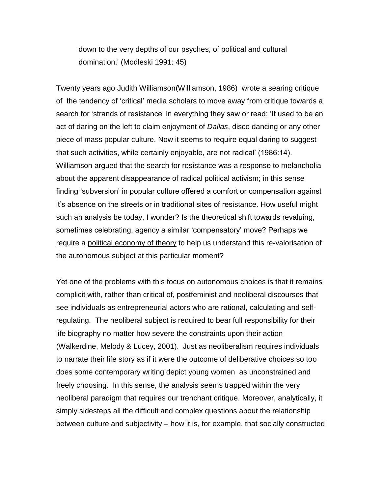down to the very depths of our psyches, of political and cultural domination.' (Modleski 1991: 45)

Twenty years ago Judith Williamson(Williamson, 1986) wrote a searing critique of the tendency of 'critical' media scholars to move away from critique towards a search for 'strands of resistance' in everything they saw or read: 'It used to be an act of daring on the left to claim enjoyment of *Dallas*, disco dancing or any other piece of mass popular culture. Now it seems to require equal daring to suggest that such activities, while certainly enjoyable, are not radical' (1986:14). Williamson argued that the search for resistance was a response to melancholia about the apparent disappearance of radical political activism; in this sense finding 'subversion' in popular culture offered a comfort or compensation against it's absence on the streets or in traditional sites of resistance. How useful might such an analysis be today, I wonder? Is the theoretical shift towards revaluing, sometimes celebrating, agency a similar 'compensatory' move? Perhaps we require a political economy of theory to help us understand this re-valorisation of the autonomous subject at this particular moment?

Yet one of the problems with this focus on autonomous choices is that it remains complicit with, rather than critical of, postfeminist and neoliberal discourses that see individuals as entrepreneurial actors who are rational, calculating and selfregulating. The neoliberal subject is required to bear full responsibility for their life biography no matter how severe the constraints upon their action (Walkerdine, Melody & Lucey, 2001). Just as neoliberalism requires individuals to narrate their life story as if it were the outcome of deliberative choices so too does some contemporary writing depict young women as unconstrained and freely choosing. In this sense, the analysis seems trapped within the very neoliberal paradigm that requires our trenchant critique. Moreover, analytically, it simply sidesteps all the difficult and complex questions about the relationship between culture and subjectivity – how it is, for example, that socially constructed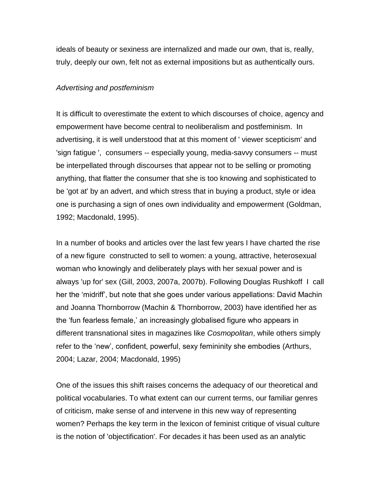ideals of beauty or sexiness are internalized and made our own, that is, really, truly, deeply our own, felt not as external impositions but as authentically ours.

#### *Advertising and postfeminism*

It is difficult to overestimate the extent to which discourses of choice, agency and empowerment have become central to neoliberalism and postfeminism. In advertising, it is well understood that at this moment of ' viewer scepticism' and 'sign fatigue ', consumers -- especially young, media-savvy consumers -- must be interpellated through discourses that appear not to be selling or promoting anything, that flatter the consumer that she is too knowing and sophisticated to be 'got at' by an advert, and which stress that in buying a product, style or idea one is purchasing a sign of ones own individuality and empowerment (Goldman, 1992; Macdonald, 1995).

In a number of books and articles over the last few years I have charted the rise of a new figure constructed to sell to women: a young, attractive, heterosexual woman who knowingly and deliberately plays with her sexual power and is always 'up for' sex (Gill, 2003, 2007a, 2007b). Following Douglas Rushkoff I call her the 'midriff', but note that she goes under various appellations: David Machin and Joanna Thornborrow (Machin & Thornborrow, 2003) have identified her as the 'fun fearless female,' an increasingly globalised figure who appears in different transnational sites in magazines like *Cosmopolitan*, while others simply refer to the 'new', confident, powerful, sexy femininity she embodies (Arthurs, 2004; Lazar, 2004; Macdonald, 1995)

One of the issues this shift raises concerns the adequacy of our theoretical and political vocabularies. To what extent can our current terms, our familiar genres of criticism, make sense of and intervene in this new way of representing women? Perhaps the key term in the lexicon of feminist critique of visual culture is the notion of 'objectification'. For decades it has been used as an analytic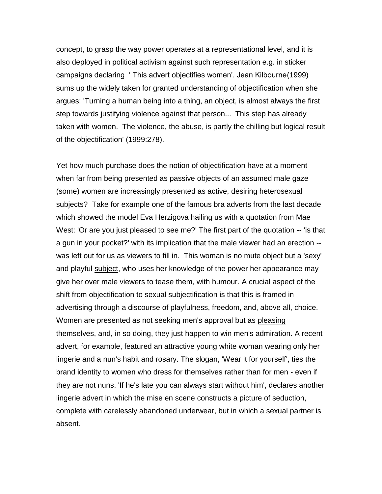concept, to grasp the way power operates at a representational level, and it is also deployed in political activism against such representation e.g. in sticker campaigns declaring ' This advert objectifies women'. Jean Kilbourne(1999) sums up the widely taken for granted understanding of objectification when she argues: 'Turning a human being into a thing, an object, is almost always the first step towards justifying violence against that person... This step has already taken with women. The violence, the abuse, is partly the chilling but logical result of the objectification' (1999:278).

Yet how much purchase does the notion of objectification have at a moment when far from being presented as passive objects of an assumed male gaze (some) women are increasingly presented as active, desiring heterosexual subjects? Take for example one of the famous bra adverts from the last decade which showed the model Eva Herzigova hailing us with a quotation from Mae West: 'Or are you just pleased to see me?' The first part of the quotation -- 'is that a gun in your pocket?' with its implication that the male viewer had an erection - was left out for us as viewers to fill in. This woman is no mute object but a 'sexy' and playful subject, who uses her knowledge of the power her appearance may give her over male viewers to tease them, with humour. A crucial aspect of the shift from objectification to sexual subjectification is that this is framed in advertising through a discourse of playfulness, freedom, and, above all, choice. Women are presented as not seeking men's approval but as pleasing themselves, and, in so doing, they just happen to win men's admiration. A recent advert, for example, featured an attractive young white woman wearing only her lingerie and a nun's habit and rosary. The slogan, 'Wear it for yourself', ties the brand identity to women who dress for themselves rather than for men - even if they are not nuns. 'If he's late you can always start without him', declares another lingerie advert in which the mise en scene constructs a picture of seduction, complete with carelessly abandoned underwear, but in which a sexual partner is absent.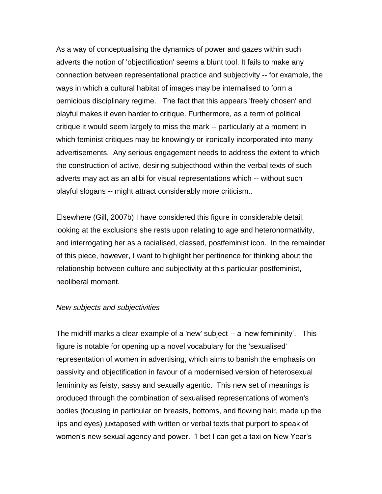As a way of conceptualising the dynamics of power and gazes within such adverts the notion of 'objectification' seems a blunt tool. It fails to make any connection between representational practice and subjectivity -- for example, the ways in which a cultural habitat of images may be internalised to form a pernicious disciplinary regime. The fact that this appears 'freely chosen' and playful makes it even harder to critique. Furthermore, as a term of political critique it would seem largely to miss the mark -- particularly at a moment in which feminist critiques may be knowingly or ironically incorporated into many advertisements. Any serious engagement needs to address the extent to which the construction of active, desiring subjecthood within the verbal texts of such adverts may act as an alibi for visual representations which -- without such playful slogans -- might attract considerably more criticism..

Elsewhere (Gill, 2007b) I have considered this figure in considerable detail, looking at the exclusions she rests upon relating to age and heteronormativity, and interrogating her as a racialised, classed, postfeminist icon. In the remainder of this piece, however, I want to highlight her pertinence for thinking about the relationship between culture and subjectivity at this particular postfeminist, neoliberal moment.

#### *New subjects and subjectivities*

The midriff marks a clear example of a 'new' subject -- a 'new femininity'. This figure is notable for opening up a novel vocabulary for the 'sexualised' representation of women in advertising, which aims to banish the emphasis on passivity and objectification in favour of a modernised version of heterosexual femininity as feisty, sassy and sexually agentic. This new set of meanings is produced through the combination of sexualised representations of women's bodies (focusing in particular on breasts, bottoms, and flowing hair, made up the lips and eyes) juxtaposed with written or verbal texts that purport to speak of women's new sexual agency and power. 'I bet I can get a taxi on New Year's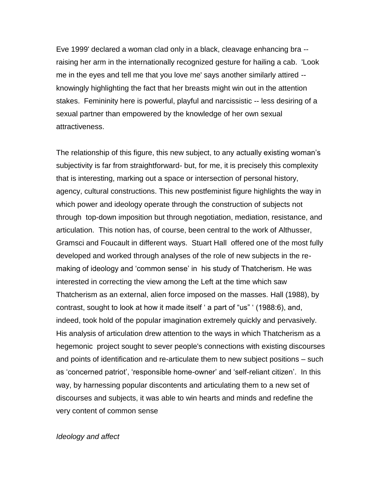Eve 1999' declared a woman clad only in a black, cleavage enhancing bra - raising her arm in the internationally recognized gesture for hailing a cab. 'Look me in the eyes and tell me that you love me' says another similarly attired - knowingly highlighting the fact that her breasts might win out in the attention stakes. Femininity here is powerful, playful and narcissistic -- less desiring of a sexual partner than empowered by the knowledge of her own sexual attractiveness.

The relationship of this figure, this new subject, to any actually existing woman's subjectivity is far from straightforward- but, for me, it is precisely this complexity that is interesting, marking out a space or intersection of personal history, agency, cultural constructions. This new postfeminist figure highlights the way in which power and ideology operate through the construction of subjects not through top-down imposition but through negotiation, mediation, resistance, and articulation. This notion has, of course, been central to the work of Althusser, Gramsci and Foucault in different ways. Stuart Hall offered one of the most fully developed and worked through analyses of the role of new subjects in the remaking of ideology and 'common sense' in his study of Thatcherism. He was interested in correcting the view among the Left at the time which saw Thatcherism as an external, alien force imposed on the masses. Hall (1988), by contrast, sought to look at how it made itself ' a part of "us" ' (1988:6), and, indeed, took hold of the popular imagination extremely quickly and pervasively. His analysis of articulation drew attention to the ways in which Thatcherism as a hegemonic project sought to sever people's connections with existing discourses and points of identification and re-articulate them to new subject positions – such as 'concerned patriot', 'responsible home-owner' and 'self-reliant citizen'. In this way, by harnessing popular discontents and articulating them to a new set of discourses and subjects, it was able to win hearts and minds and redefine the very content of common sense

#### *Ideology and affect*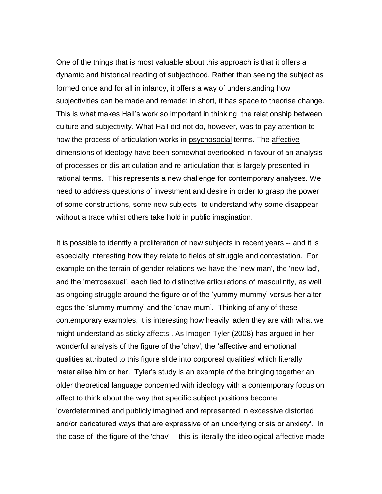One of the things that is most valuable about this approach is that it offers a dynamic and historical reading of subjecthood. Rather than seeing the subject as formed once and for all in infancy, it offers a way of understanding how subjectivities can be made and remade; in short, it has space to theorise change. This is what makes Hall's work so important in thinking the relationship between culture and subjectivity. What Hall did not do, however, was to pay attention to how the process of articulation works in psychosocial terms. The affective dimensions of ideology have been somewhat overlooked in favour of an analysis of processes or dis-articulation and re-articulation that is largely presented in rational terms. This represents a new challenge for contemporary analyses. We need to address questions of investment and desire in order to grasp the power of some constructions, some new subjects- to understand why some disappear without a trace whilst others take hold in public imagination.

It is possible to identify a proliferation of new subjects in recent years -- and it is especially interesting how they relate to fields of struggle and contestation. For example on the terrain of gender relations we have the 'new man', the 'new lad', and the 'metrosexual', each tied to distinctive articulations of masculinity, as well as ongoing struggle around the figure or of the 'yummy mummy' versus her alter egos the 'slummy mummy' and the 'chav mum'. Thinking of any of these contemporary examples, it is interesting how heavily laden they are with what we might understand as sticky affects . As Imogen Tyler (2008) has argued in her wonderful analysis of the figure of the 'chav', the 'affective and emotional qualities attributed to this figure slide into corporeal qualities' which literally materialise him or her. Tyler's study is an example of the bringing together an older theoretical language concerned with ideology with a contemporary focus on affect to think about the way that specific subject positions become 'overdetermined and publicly imagined and represented in excessive distorted and/or caricatured ways that are expressive of an underlying crisis or anxiety'. In the case of the figure of the 'chav' -- this is literally the ideological-affective made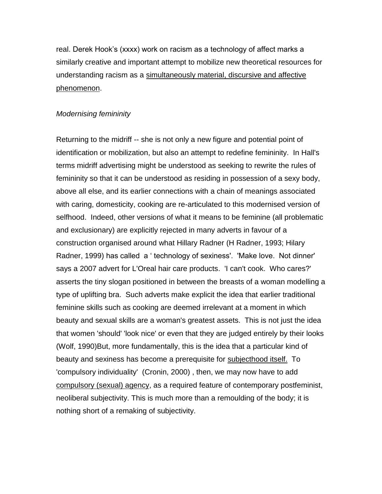real. Derek Hook's (xxxx) work on racism as a technology of affect marks a similarly creative and important attempt to mobilize new theoretical resources for understanding racism as a simultaneously material, discursive and affective phenomenon.

#### *Modernising femininity*

Returning to the midriff -- she is not only a new figure and potential point of identification or mobilization, but also an attempt to redefine femininity. In Hall's terms midriff advertising might be understood as seeking to rewrite the rules of femininity so that it can be understood as residing in possession of a sexy body, above all else, and its earlier connections with a chain of meanings associated with caring, domesticity, cooking are re-articulated to this modernised version of selfhood. Indeed, other versions of what it means to be feminine (all problematic and exclusionary) are explicitly rejected in many adverts in favour of a construction organised around what Hillary Radner (H Radner, 1993; Hilary Radner, 1999) has called a ' technology of sexiness'. 'Make love. Not dinner' says a 2007 advert for L'Oreal hair care products. 'I can't cook. Who cares?' asserts the tiny slogan positioned in between the breasts of a woman modelling a type of uplifting bra. Such adverts make explicit the idea that earlier traditional feminine skills such as cooking are deemed irrelevant at a moment in which beauty and sexual skills are a woman's greatest assets. This is not just the idea that women 'should' 'look nice' or even that they are judged entirely by their looks (Wolf, 1990)But, more fundamentally, this is the idea that a particular kind of beauty and sexiness has become a prerequisite for subjecthood itself. To 'compulsory individuality' (Cronin, 2000) , then, we may now have to add compulsory (sexual) agency, as a required feature of contemporary postfeminist, neoliberal subjectivity. This is much more than a remoulding of the body; it is nothing short of a remaking of subjectivity.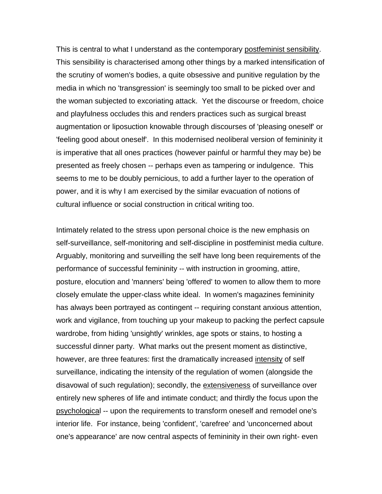This is central to what I understand as the contemporary postfeminist sensibility. This sensibility is characterised among other things by a marked intensification of the scrutiny of women's bodies, a quite obsessive and punitive regulation by the media in which no 'transgression' is seemingly too small to be picked over and the woman subjected to excoriating attack. Yet the discourse or freedom, choice and playfulness occludes this and renders practices such as surgical breast augmentation or liposuction knowable through discourses of 'pleasing oneself' or 'feeling good about oneself'. In this modernised neoliberal version of femininity it is imperative that all ones practices (however painful or harmful they may be) be presented as freely chosen -- perhaps even as tampering or indulgence. This seems to me to be doubly pernicious, to add a further layer to the operation of power, and it is why I am exercised by the similar evacuation of notions of cultural influence or social construction in critical writing too.

Intimately related to the stress upon personal choice is the new emphasis on self-surveillance, self-monitoring and self-discipline in postfeminist media culture. Arguably, monitoring and surveilling the self have long been requirements of the performance of successful femininity -- with instruction in grooming, attire, posture, elocution and 'manners' being 'offered' to women to allow them to more closely emulate the upper-class white ideal. In women's magazines femininity has always been portrayed as contingent -- requiring constant anxious attention, work and vigilance, from touching up your makeup to packing the perfect capsule wardrobe, from hiding 'unsightly' wrinkles, age spots or stains, to hosting a successful dinner party. What marks out the present moment as distinctive, however, are three features: first the dramatically increased intensity of self surveillance, indicating the intensity of the regulation of women (alongside the disavowal of such regulation); secondly, the extensiveness of surveillance over entirely new spheres of life and intimate conduct; and thirdly the focus upon the psychological -- upon the requirements to transform oneself and remodel one's interior life. For instance, being 'confident', 'carefree' and 'unconcerned about one's appearance' are now central aspects of femininity in their own right- even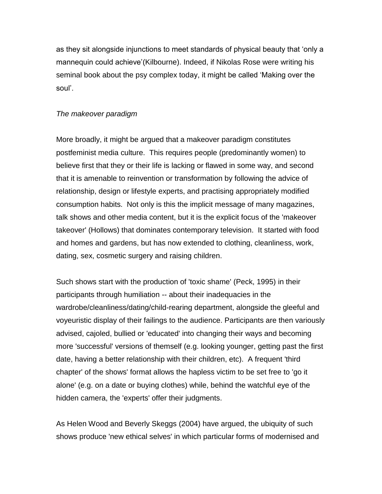as they sit alongside injunctions to meet standards of physical beauty that 'only a mannequin could achieve'(Kilbourne). Indeed, if Nikolas Rose were writing his seminal book about the psy complex today, it might be called 'Making over the soul'.

#### *The makeover paradigm*

More broadly, it might be argued that a makeover paradigm constitutes postfeminist media culture. This requires people (predominantly women) to believe first that they or their life is lacking or flawed in some way, and second that it is amenable to reinvention or transformation by following the advice of relationship, design or lifestyle experts, and practising appropriately modified consumption habits. Not only is this the implicit message of many magazines, talk shows and other media content, but it is the explicit focus of the 'makeover takeover' (Hollows) that dominates contemporary television. It started with food and homes and gardens, but has now extended to clothing, cleanliness, work, dating, sex, cosmetic surgery and raising children.

Such shows start with the production of 'toxic shame' (Peck, 1995) in their participants through humiliation -- about their inadequacies in the wardrobe/cleanliness/dating/child-rearing department, alongside the gleeful and voyeuristic display of their failings to the audience. Participants are then variously advised, cajoled, bullied or 'educated' into changing their ways and becoming more 'successful' versions of themself (e.g. looking younger, getting past the first date, having a better relationship with their children, etc). A frequent 'third chapter' of the shows' format allows the hapless victim to be set free to 'go it alone' (e.g. on a date or buying clothes) while, behind the watchful eye of the hidden camera, the 'experts' offer their judgments.

As Helen Wood and Beverly Skeggs (2004) have argued, the ubiquity of such shows produce 'new ethical selves' in which particular forms of modernised and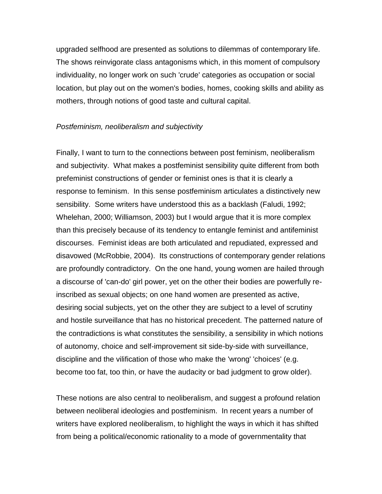upgraded selfhood are presented as solutions to dilemmas of contemporary life. The shows reinvigorate class antagonisms which, in this moment of compulsory individuality, no longer work on such 'crude' categories as occupation or social location, but play out on the women's bodies, homes, cooking skills and ability as mothers, through notions of good taste and cultural capital.

#### *Postfeminism, neoliberalism and subjectivity*

Finally, I want to turn to the connections between post feminism, neoliberalism and subjectivity. What makes a postfeminist sensibility quite different from both prefeminist constructions of gender or feminist ones is that it is clearly a response to feminism. In this sense postfeminism articulates a distinctively new sensibility. Some writers have understood this as a backlash (Faludi, 1992; Whelehan, 2000; Williamson, 2003) but I would argue that it is more complex than this precisely because of its tendency to entangle feminist and antifeminist discourses. Feminist ideas are both articulated and repudiated, expressed and disavowed (McRobbie, 2004). Its constructions of contemporary gender relations are profoundly contradictory. On the one hand, young women are hailed through a discourse of 'can-do' girl power, yet on the other their bodies are powerfully reinscribed as sexual objects; on one hand women are presented as active, desiring social subjects, yet on the other they are subject to a level of scrutiny and hostile surveillance that has no historical precedent. The patterned nature of the contradictions is what constitutes the sensibility, a sensibility in which notions of autonomy, choice and self-improvement sit side-by-side with surveillance, discipline and the vilification of those who make the 'wrong' 'choices' (e.g. become too fat, too thin, or have the audacity or bad judgment to grow older).

These notions are also central to neoliberalism, and suggest a profound relation between neoliberal ideologies and postfeminism. In recent years a number of writers have explored neoliberalism, to highlight the ways in which it has shifted from being a political/economic rationality to a mode of governmentality that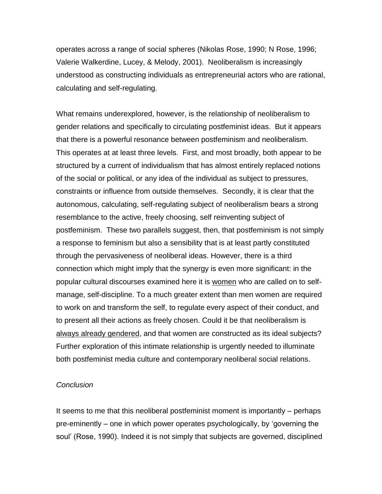operates across a range of social spheres (Nikolas Rose, 1990; N Rose, 1996; Valerie Walkerdine, Lucey, & Melody, 2001). Neoliberalism is increasingly understood as constructing individuals as entrepreneurial actors who are rational, calculating and self-regulating.

What remains underexplored, however, is the relationship of neoliberalism to gender relations and specifically to circulating postfeminist ideas. But it appears that there is a powerful resonance between postfeminism and neoliberalism. This operates at at least three levels. First, and most broadly, both appear to be structured by a current of individualism that has almost entirely replaced notions of the social or political, or any idea of the individual as subject to pressures, constraints or influence from outside themselves. Secondly, it is clear that the autonomous, calculating, self-regulating subject of neoliberalism bears a strong resemblance to the active, freely choosing, self reinventing subject of postfeminism. These two parallels suggest, then, that postfeminism is not simply a response to feminism but also a sensibility that is at least partly constituted through the pervasiveness of neoliberal ideas. However, there is a third connection which might imply that the synergy is even more significant: in the popular cultural discourses examined here it is women who are called on to selfmanage, self-discipline. To a much greater extent than men women are required to work on and transform the self, to regulate every aspect of their conduct, and to present all their actions as freely chosen. Could it be that neoliberalism is always already gendered, and that women are constructed as its ideal subjects? Further exploration of this intimate relationship is urgently needed to illuminate both postfeminist media culture and contemporary neoliberal social relations.

#### *Conclusion*

It seems to me that this neoliberal postfeminist moment is importantly – perhaps pre-eminently – one in which power operates psychologically, by 'governing the soul' (Rose, 1990). Indeed it is not simply that subjects are governed, disciplined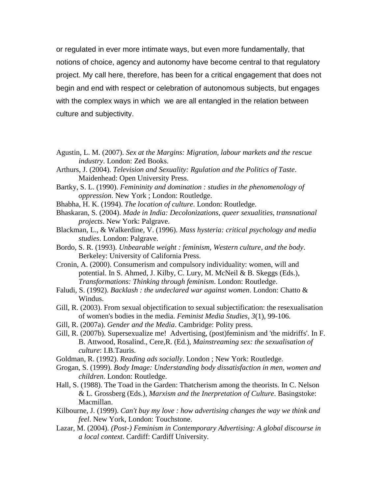or regulated in ever more intimate ways, but even more fundamentally, that notions of choice, agency and autonomy have become central to that regulatory project. My call here, therefore, has been for a critical engagement that does not begin and end with respect or celebration of autonomous subjects, but engages with the complex ways in which we are all entangled in the relation between culture and subjectivity.

- Agustin, L. M. (2007). *Sex at the Margins: Migration, labour markets and the rescue industry*. London: Zed Books.
- Arthurs, J. (2004). *Television and Sexuality: Rgulation and the Politics of Taste*. Maidenhead: Open University Press.
- Bartky, S. L. (1990). *Femininity and domination : studies in the phenomenology of oppression*. New York ; London: Routledge.
- Bhabha, H. K. (1994). *The location of culture*. London: Routledge.
- Bhaskaran, S. (2004). *Made in India: Decolonizations, queer sexualities, transnational projects*. New York: Palgrave.
- Blackman, L., & Walkerdine, V. (1996). *Mass hysteria: critical psychology and media studies*. London: Palgrave.
- Bordo, S. R. (1993). *Unbearable weight : feminism, Western culture, and the body*. Berkeley: University of California Press.
- Cronin, A. (2000). Consumerism and compulsory individuality: women, will and potential. In S. Ahmed, J. Kilby, C. Lury, M. McNeil & B. Skeggs (Eds.), *Transformations: Thinking through feminism*. London: Routledge.
- Faludi, S. (1992). *Backlash : the undeclared war against women*. London: Chatto & Windus.
- Gill, R. (2003). From sexual objectification to sexual subjectification: the resexualisation of women's bodies in the media. *Feminist Media Studies, 3*(1), 99-106.
- Gill, R. (2007a). *Gender and the Media*. Cambridge: Polity press.
- Gill, R. (2007b). Supersexualize me! Advertising, (post)feminism and 'the midriffs'. In F. B. Attwood, Rosalind., Cere,R. (Ed.), *Mainstreaming sex: the sexualisation of culture*: I.B.Tauris.
- Goldman, R. (1992). *Reading ads socially*. London ; New York: Routledge.
- Grogan, S. (1999). *Body Image: Understanding body dissatisfaction in men, women and children*. London: Routledge.
- Hall, S. (1988). The Toad in the Garden: Thatcherism among the theorists. In C. Nelson & L. Grossberg (Eds.), *Marxism and the Inerpretation of Culture*. Basingstoke: Macmillan.
- Kilbourne, J. (1999). *Can't buy my love : how advertising changes the way we think and feel*. New York, London: Touchstone.
- Lazar, M. (2004). *(Post-) Feminism in Contemporary Advertising: A global discourse in a local context*. Cardiff: Cardiff University.